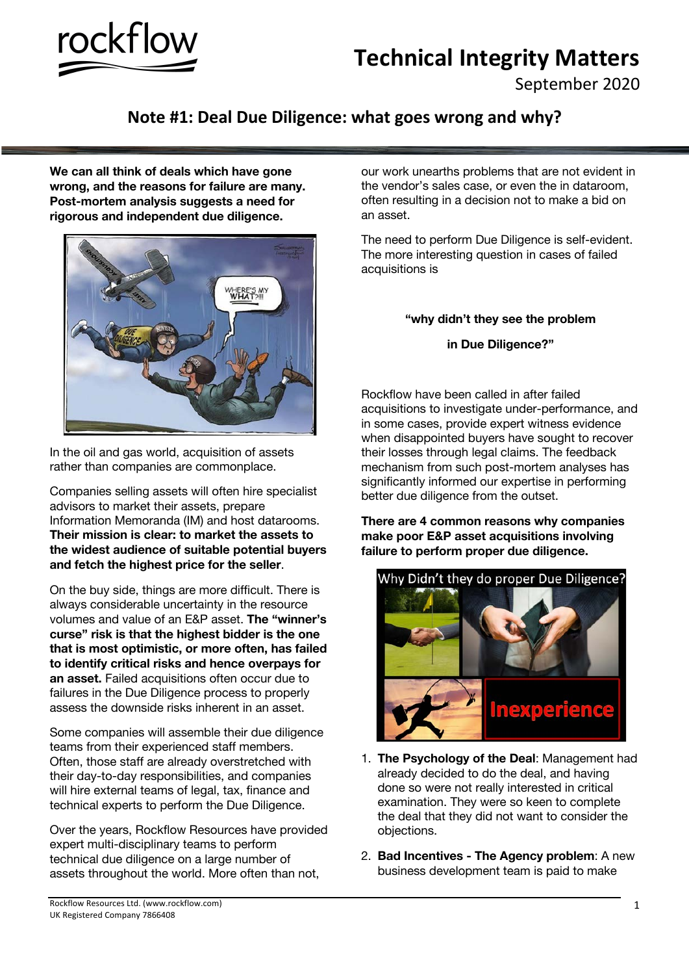

## **Technical Integrity Matters**

September 2020

## **Note #1: Deal Due Diligence: what goes wrong and why?**

**We can all think of deals which have gone wrong, and the reasons for failure are many. Post-mortem analysis suggests a need for rigorous and independent due diligence.**



In the oil and gas world, acquisition of assets rather than companies are commonplace.

Companies selling assets will often hire specialist advisors to market their assets, prepare Information Memoranda (IM) and host datarooms. **Their mission is clear: to market the assets to the widest audience of suitable potential buyers and fetch the highest price for the seller**.

On the buy side, things are more difficult. There is always considerable uncertainty in the resource volumes and value of an E&P asset. **The "winner's curse" risk is that the highest bidder is the one that is most optimistic, or more often, has failed to identify critical risks and hence overpays for an asset.** Failed acquisitions often occur due to failures in the Due Diligence process to properly assess the downside risks inherent in an asset.

Some companies will assemble their due diligence teams from their experienced staff members. Often, those staff are already overstretched with their day-to-day responsibilities, and companies will hire external teams of legal, tax, finance and technical experts to perform the Due Diligence.

Over the years, Rockflow Resources have provided expert multi-disciplinary teams to perform technical due diligence on a large number of assets throughout the world. More often than not,

our work unearths problems that are not evident in the vendor's sales case, or even the in dataroom, often resulting in a decision not to make a bid on an asset.

The need to perform Due Diligence is self-evident. The more interesting question in cases of failed acquisitions is

## **"why didn't they see the problem**

**in Due Diligence?"**

Rockflow have been called in after failed acquisitions to investigate under-performance, and in some cases, provide expert witness evidence when disappointed buyers have sought to recover their losses through legal claims. The feedback mechanism from such post-mortem analyses has significantly informed our expertise in performing better due diligence from the outset.

**There are 4 common reasons why companies make poor E&P asset acquisitions involving failure to perform proper due diligence.**



- 1. **The Psychology of the Deal**: Management had already decided to do the deal, and having done so were not really interested in critical examination. They were so keen to complete the deal that they did not want to consider the objections.
- 2. **Bad Incentives - The Agency problem**: A new business development team is paid to make